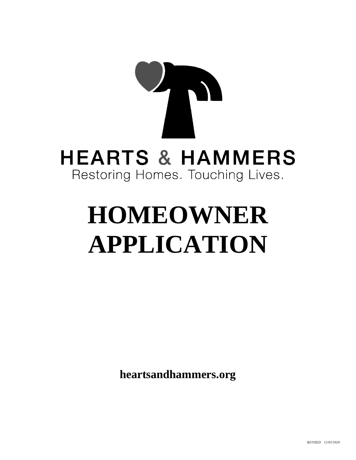# **HEARTS & HAMMERS** Restoring Homes. Touching Lives.

# **HOMEOWNER APPLICATION**

**heartsandhammers.org**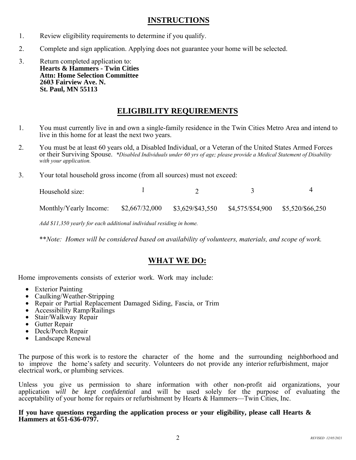### **INSTRUCTIONS**

- 1. Review eligibility requirements to determine if you qualify.
- 2. Complete and sign application. Applying does not guarantee your home will be selected.
- 3. Return completed application to: **Hearts & Hammers - Twin Cities Attn: Home Selection Committee 2603 Fairview Ave. N. St. Paul, MN 55113**

## **ELIGIBILITY REQUIREMENTS**

- 1. You must currently live in and own a single-family residence in the Twin Cities Metro Area and intend to live in this home for at least the next two years.
- 2. You must be at least 60 years old, a Disabled Individual, or a Veteran of the United States Armed Forces or their Surviving Spouse. *\*Disabled Individuals under 60 yrs of age; please provide a Medical Statement of Disability with your application.*
- 3. Your total household gross income (from all sources) must not exceed:

| Household size: |  |  |
|-----------------|--|--|
|                 |  |  |

Monthly/Yearly Income: \$2,667/32,000 \$3,629/\$43,550 \$4,575/\$54,900 \$5,520/\$66,250

*Add \$11,350 yearly for each additional individual residing in home.*

\*\**Note: Homes will be considered based on availability of volunteers, materials, and scope of work.*

### **WHAT WE DO:**

Home improvements consists of exterior work. Work may include:

- Exterior Painting
- Caulking/Weather-Stripping
- Repair or Partial Replacement Damaged Siding, Fascia, or Trim
- Accessibility Ramp/Railings
- Stair/Walkway Repair
- Gutter Repair
- Deck/Porch Repair
- Landscape Renewal

The purpose of this work is to restore the character of the home and the surrounding neighborhood and to improve the home's safety and security. Volunteers do not provide any interior refurbishment, major electrical work, or plumbing services.

Unless you give us permission to share information with other non-profit aid organizations, your application *will be kept confidential* and will be used solely for the purpose of evaluating the acceptability of your home for repairs or refurbishment by Hearts & Hammers—Twin Cities, Inc.

**If you have questions regarding the application process or your eligibility, please call Hearts & Hammers at 651-636-0797.**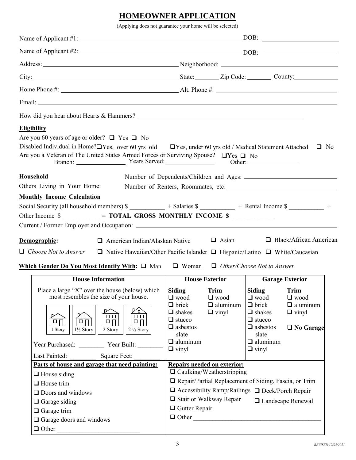# **HOMEOWNER APPLICATION**

(Applying does not guarantee your home will be selected)

|                                                                                                                                                                                                                                                                                                                                               | Address: Neighborhood: Neighborhood: Neighborhood:                                                                           |                                                                         |                                                                                                                              |                                                                                         |  |
|-----------------------------------------------------------------------------------------------------------------------------------------------------------------------------------------------------------------------------------------------------------------------------------------------------------------------------------------------|------------------------------------------------------------------------------------------------------------------------------|-------------------------------------------------------------------------|------------------------------------------------------------------------------------------------------------------------------|-----------------------------------------------------------------------------------------|--|
| City: City: City: City: County: City: County: City: County:                                                                                                                                                                                                                                                                                   |                                                                                                                              |                                                                         |                                                                                                                              |                                                                                         |  |
|                                                                                                                                                                                                                                                                                                                                               |                                                                                                                              |                                                                         |                                                                                                                              |                                                                                         |  |
|                                                                                                                                                                                                                                                                                                                                               |                                                                                                                              |                                                                         |                                                                                                                              |                                                                                         |  |
|                                                                                                                                                                                                                                                                                                                                               |                                                                                                                              |                                                                         |                                                                                                                              |                                                                                         |  |
| <b>Eligibility</b>                                                                                                                                                                                                                                                                                                                            |                                                                                                                              |                                                                         |                                                                                                                              |                                                                                         |  |
| Are you 60 years of age or older? $\Box$ Yes $\Box$ No<br>Disabled Individual in Home? $\Box$ Yes, over 60 yrs old $\Box$ Yes, under 60 yrs old / Medical Statement Attached $\Box$ No<br>Are you a Veteran of The United States Armed Forces or Surviving Spouse?<br><br>QYes<br>Q No<br>Branch: Years Served: Other: Other:                 |                                                                                                                              |                                                                         |                                                                                                                              |                                                                                         |  |
| Household                                                                                                                                                                                                                                                                                                                                     |                                                                                                                              |                                                                         |                                                                                                                              |                                                                                         |  |
| Others Living in Your Home:<br><b>Monthly Income Calculation</b>                                                                                                                                                                                                                                                                              |                                                                                                                              |                                                                         |                                                                                                                              |                                                                                         |  |
| $\Box$ American Indian/Alaskan Native $\Box$ Asian<br>Demographic:                                                                                                                                                                                                                                                                            |                                                                                                                              |                                                                         |                                                                                                                              |                                                                                         |  |
| $\Box$ Choose Not to Answer<br>$\Box$ Native Hawaiian/Other Pacific Islander $\Box$ Hispanic/Latino $\Box$ White/Caucasian                                                                                                                                                                                                                    |                                                                                                                              |                                                                         |                                                                                                                              | $\Box$ Black/African American                                                           |  |
| Which Gender Do You Most Identify With: $\Box$ Man $\Box$ Woman $\Box$ Other/Choose Not to Answer                                                                                                                                                                                                                                             |                                                                                                                              |                                                                         |                                                                                                                              |                                                                                         |  |
| <b>House Information</b><br>Place a large "X" over the house (below) which $\left $ Siding Trim $\right $ Siding Trim<br>most resembles the size of your house.<br><u> [∕ п</u><br>`o `<br>o 0<br>ŌΟ<br>ōη<br>$\Box$<br>$\Box$<br>$\Box$<br>$1\frac{1}{2}$ Story<br>1 Story<br>2 Story<br>$2\frac{1}{2}$ Story<br>Year Purchased: Year Built: | $\Box$ wood<br>$\Box$ brick<br>$\Box$ shakes<br>$\Box$ stucco<br>$\Box$ asbestos<br>slate<br>$\Box$ aluminum<br>$\Box$ vinyl | <b>House Exterior</b><br>$\Box$ wood<br>$\Box$ aluminum<br>$\Box$ vinyl | $\Box$ wood<br>$\Box$ brick<br>$\Box$ shakes<br>$\Box$ stucco<br>$\Box$ asbestos<br>slate<br>$\Box$ aluminum<br>$\Box$ vinyl | <b>Garage Exterior</b><br>$\Box$ wood<br>$\Box$ aluminum<br>$\Box$ vinyl<br>□ No Garage |  |
| Last Painted: Square Feet:<br>Parts of house and garage that need painting:                                                                                                                                                                                                                                                                   |                                                                                                                              | <b>Repairs needed on exterior:</b><br>$\Box$ Caulking/Weatherstripping  |                                                                                                                              |                                                                                         |  |